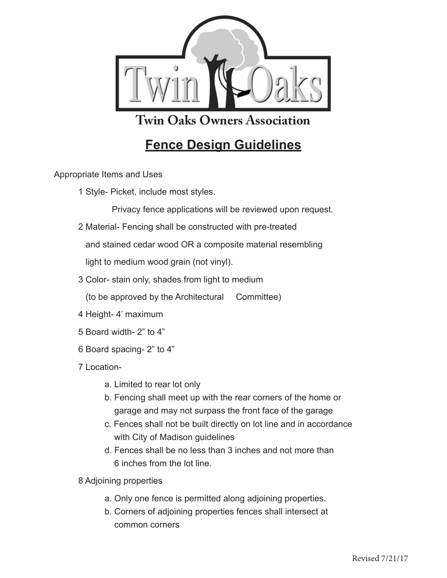

**Twin Oaks Owners Association** 

## **Fence Design Guidelines** <u>Force Boorgh Gardonnes</u>

Appropriate Items and Uses *Current on Association dues apply. Please reference apply. Please reference**reference**reference**reference**reference**reference <b>reference reference reference reference refere* 

1 Style- Picket, include most styles.

Privacy fence applications will be reviewed upon request.

2 Material- Fencing shall be constructed with pre-treated

and stained cedar wood OR a composite material resembling a. Construction details including and utility property including and utility property  $\mathcal{L}$ 

light to medium wood grain (not vinyl).

3 Color- stain only, shades from light to medium

(to be approved by the Architectural Committee) **e.** Landscaping elements of  $\alpha$ 

- 4 Height- 4' maximum **2. Architectural Committee reviews and votes on proposal** 
	- 5 Board width- 2" to 4"
	- 6 Board spacing- 2" to 4" *Note: Article II, 2.4 any application may be denied as the Architectural Committee deems fit in accordance to the standards (II,2.4). This process*

7 Location *shall take no longer than 30 days of receipt of proposal (II, 2.3)* 

- a. Limited to rear lot only
	- b. Fencing shall meet up with the rear corners of the home or garage and may not surpass the front face of the garage
- c. Fences shall not be built directly on lot line and in accordance with City of Madison guidelines
- d. Fences shall be no less than 3 inches and not more than 6 inches from the lot line. Approximation stipulation on maintenance and responsibility.
- **8.** Adjoining properties written approval to the owner  $\mathbf{A}$
- a. Only one fence is permitted along adjoining properties. **a.** Construction may not begin before the owner receives written approval a. Only one fence is permitted along adjoining properties.
	- b. Corners of adjoining properties fences shall intersect at common corners